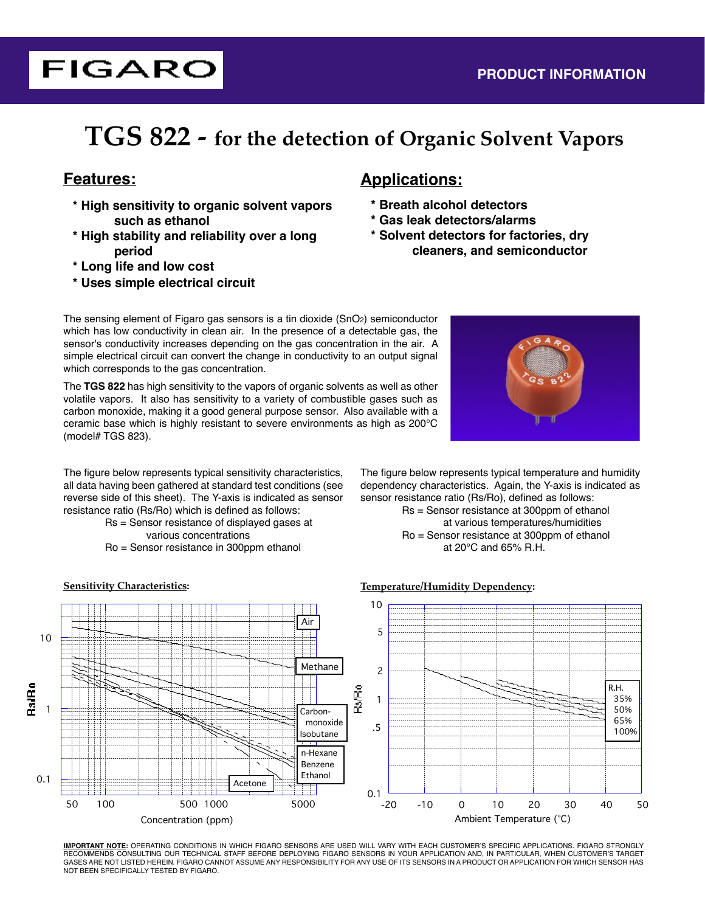# **TGS 822 - for the detection of Organic Solvent Vapors**

**FIGARO** 

- **\* High sensitivity to organic solvent vapors such as ethanol**
- **\* High stability and reliability over a long period**
- **\* Long life and low cost**
- **\* Uses simple electrical circuit**

# **Features: Applications:**

- **\* Breath alcohol detectors**
- **\* Gas leak detectors/alarms**
- **\* Solvent detectors for factories, dry cleaners, and semiconductor**

The sensing element of Figaro gas sensors is a tin dioxide (SnO2) semiconductor which has low conductivity in clean air. In the presence of a detectable gas, the sensor's conductivity increases depending on the gas concentration in the air. A simple electrical circuit can convert the change in conductivity to an output signal which corresponds to the gas concentration.

The **TGS 822** has high sensitivity to the vapors of organic solvents as well as other volatile vapors. It also has sensitivity to a variety of combustible gases such as carbon monoxide, making it a good general purpose sensor. Also available with a ceramic base which is highly resistant to severe environments as high as 200°C (model# TGS 823).

The figure below represents typical sensitivity characteristics, all data having been gathered at standard test conditions (see reverse side of this sheet). The Y-axis is indicated as sensor resistance ratio (Rs/Ro) which is defined as follows:

 Rs = Sensor resistance of displayed gases at various concentrations

Ro = Sensor resistance in 300ppm ethanol



The figure below represents typical temperature and humidity dependency characteristics. Again, the Y-axis is indicated as sensor resistance ratio (Rs/Ro), defined as follows:

> Rs = Sensor resistance at 300ppm of ethanol at various temperatures/humidities Ro = Sensor resistance at 300ppm of ethanol at 20°C and 65% R.H.



**IMPORTANT NOTE:** OPERATING CONDITIONS IN WHICH FIGARO SENSORS ARE USED WILL VARY WITH EACH CUSTOMER'S SPECIFIC APPLICATIONS. FIGARO STRONGLY RECOMMENDS CONSULTING OUR TECHNICAL STAFF BEFORE DEPLOYING FIGARO SENSORS IN YOUR APPLICATION AND, IN PARTICULAR, WHEN CUSTOMER'S TARGET GASES ARE NOT LISTED HEREIN. FIGARO CANNOT ASSUME ANY RESPONSIBILITY FOR ANY USE OF ITS SENSORS IN A PRODUCT OR APPLICATION FOR WHICH SENSOR HAS NOT BEEN SPECIFICALLY TESTED BY FIGARO.

**Sensitivity Characteristics: Temperature/Humidity Dependency:**